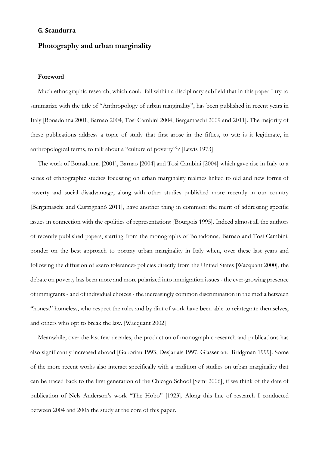### **G. Scandurra**

# **Photography and urban marginality**

## **Foreword<sup>1</sup>**

Much ethnographic research, which could fall within a disciplinary subfield that in this paper I try to summarize with the title of "Anthropology of urban marginality", has been published in recent years in Italy [Bonadonna 2001, Barnao 2004, Tosi Cambini 2004, Bergamaschi 2009 and 2011]. The majority of these publications address a topic of study that first arose in the fifties, to wit: is it legitimate, in anthropological terms, to talk about a "culture of poverty"? [Lewis 1973]

The work of Bonadonna [2001], Barnao [2004] and Tosi Cambini [2004] which gave rise in Italy to a series of ethnographic studies focussing on urban marginality realities linked to old and new forms of poverty and social disadvantage, along with other studies published more recently in our country [Bergamaschi and Castrignanò 2011], have another thing in common: the merit of addressing specific issues in connection with the «politics of representation» [Bourgois 1995]. Indeed almost all the authors of recently published papers, starting from the monographs of Bonadonna, Barnao and Tosi Cambini, ponder on the best approach to portray urban marginality in Italy when, over these last years and following the diffusion of «zero tolerance» policies directly from the United States [Wacquant 2000], the debate on poverty has been more and more polarized into immigration issues - the ever-growing presence of immigrants - and of individual choices - the increasingly common discrimination in the media between "honest" homeless, who respect the rules and by dint of work have been able to reintegrate themselves, and others who opt to break the law. [Wacquant 2002]

Meanwhile, over the last few decades, the production of monographic research and publications has also significantly increased abroad [Gaboriau 1993, Desjarlais 1997, Glasser and Bridgman 1999]. Some of the more recent works also interact specifically with a tradition of studies on urban marginality that can be traced back to the first generation of the Chicago School [Semi 2006], if we think of the date of publication of Nels Anderson's work "The Hobo" [1923]. Along this line of research I conducted between 2004 and 2005 the study at the core of this paper.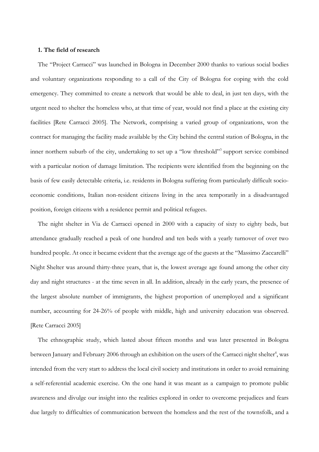## **1. The field of research**

The "Project Carracci" was launched in Bologna in December 2000 thanks to various social bodies and voluntary organizations responding to a call of the City of Bologna for coping with the cold emergency. They committed to create a network that would be able to deal, in just ten days, with the urgent need to shelter the homeless who, at that time of year, would not find a place at the existing city facilities [Rete Carracci 2005]. The Network, comprising a varied group of organizations, won the contract for managing the facility made available by the City behind the central station of Bologna, in the inner northern suburb of the city, undertaking to set up a "low threshold"<sup>3</sup> support service combined with a particular notion of damage limitation. The recipients were identified from the beginning on the basis of few easily detectable criteria, i.e. residents in Bologna suffering from particularly difficult socioeconomic conditions, Italian non-resident citizens living in the area temporarily in a disadvantaged position, foreign citizens with a residence permit and political refugees.

The night shelter in Via de Carracci opened in 2000 with a capacity of sixty to eighty beds, but attendance gradually reached a peak of one hundred and ten beds with a yearly turnover of over two hundred people. At once it became evident that the average age of the guests at the "Massimo Zaccarelli" Night Shelter was around thirty-three years, that is, the lowest average age found among the other city day and night structures - at the time seven in all. In addition, already in the early years, the presence of the largest absolute number of immigrants, the highest proportion of unemployed and a significant number, accounting for 24-26% of people with middle, high and university education was observed. [Rete Carracci 2005]

The ethnographic study, which lasted about fifteen months and was later presented in Bologna between January and February 2006 through an exhibition on the users of the Carracci night shelter<sup>4</sup>, was intended from the very start to address the local civil society and institutions in order to avoid remaining a self-referential academic exercise. On the one hand it was meant as a campaign to promote public awareness and divulge our insight into the realities explored in order to overcome prejudices and fears due largely to difficulties of communication between the homeless and the rest of the townsfolk, and a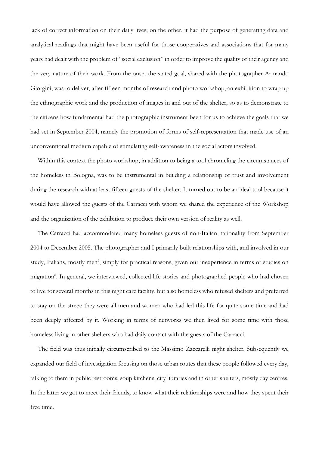lack of correct information on their daily lives; on the other, it had the purpose of generating data and analytical readings that might have been useful for those cooperatives and associations that for many years had dealt with the problem of "social exclusion" in order to improve the quality of their agency and the very nature of their work. From the onset the stated goal, shared with the photographer Armando Giorgini, was to deliver, after fifteen months of research and photo workshop, an exhibition to wrap up the ethnographic work and the production of images in and out of the shelter, so as to demonstrate to the citizens how fundamental had the photographic instrument been for us to achieve the goals that we had set in September 2004, namely the promotion of forms of self-representation that made use of an unconventional medium capable of stimulating self-awareness in the social actors involved.

Within this context the photo workshop, in addition to being a tool chronicling the circumstances of the homeless in Bologna, was to be instrumental in building a relationship of trust and involvement during the research with at least fifteen guests of the shelter. It turned out to be an ideal tool because it would have allowed the guests of the Carracci with whom we shared the experience of the Workshop and the organization of the exhibition to produce their own version of reality as well.

The Carracci had accommodated many homeless guests of non-Italian nationality from September 2004 to December 2005. The photographer and I primarily built relationships with, and involved in our study, Italians, mostly men<sup>5</sup>, simply for practical reasons, given our inexperience in terms of studies on migration<sup>6</sup>. In general, we interviewed, collected life stories and photographed people who had chosen to live for several months in this night care facility, but also homeless who refused shelters and preferred to stay on the street: they were all men and women who had led this life for quite some time and had been deeply affected by it. Working in terms of networks we then lived for some time with those homeless living in other shelters who had daily contact with the guests of the Carracci.

The field was thus initially circumscribed to the Massimo Zaccarelli night shelter. Subsequently we expanded our field of investigation focusing on those urban routes that these people followed every day, talking to them in public restrooms, soup kitchens, city libraries and in other shelters, mostly day centres. In the latter we got to meet their friends, to know what their relationships were and how they spent their free time.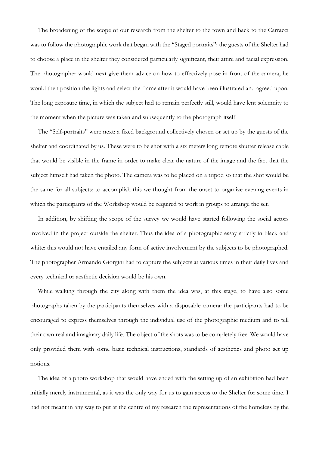The broadening of the scope of our research from the shelter to the town and back to the Carracci was to follow the photographic work that began with the "Staged portraits": the guests of the Shelter had to choose a place in the shelter they considered particularly significant, their attire and facial expression. The photographer would next give them advice on how to effectively pose in front of the camera, he would then position the lights and select the frame after it would have been illustrated and agreed upon. The long exposure time, in which the subject had to remain perfectly still, would have lent solemnity to the moment when the picture was taken and subsequently to the photograph itself.

The "Self-portraits" were next: a fixed background collectively chosen or set up by the guests of the shelter and coordinated by us. These were to be shot with a six meters long remote shutter release cable that would be visible in the frame in order to make clear the nature of the image and the fact that the subject himself had taken the photo. The camera was to be placed on a tripod so that the shot would be the same for all subjects; to accomplish this we thought from the onset to organize evening events in which the participants of the Workshop would be required to work in groups to arrange the set.

In addition, by shifting the scope of the survey we would have started following the social actors involved in the project outside the shelter. Thus the idea of a photographic essay strictly in black and white: this would not have entailed any form of active involvement by the subjects to be photographed. The photographer Armando Giorgini had to capture the subjects at various times in their daily lives and every technical or aesthetic decision would be his own.

While walking through the city along with them the idea was, at this stage, to have also some photographs taken by the participants themselves with a disposable camera: the participants had to be encouraged to express themselves through the individual use of the photographic medium and to tell their own real and imaginary daily life. The object of the shots was to be completely free. We would have only provided them with some basic technical instructions, standards of aesthetics and photo set up notions.

The idea of a photo workshop that would have ended with the setting up of an exhibition had been initially merely instrumental, as it was the only way for us to gain access to the Shelter for some time. I had not meant in any way to put at the centre of my research the representations of the homeless by the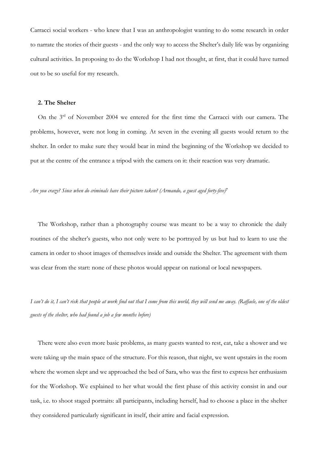Carracci social workers - who knew that I was an anthropologist wanting to do some research in order to narrate the stories of their guests - and the only way to access the Shelter's daily life was by organizing cultural activities. In proposing to do the Workshop I had not thought, at first, that it could have turned out to be so useful for my research.

### **2. The Shelter**

On the 3<sup>rd</sup> of November 2004 we entered for the first time the Carracci with our camera. The problems, however, were not long in coming. At seven in the evening all guests would return to the shelter. In order to make sure they would bear in mind the beginning of the Workshop we decided to put at the centre of the entrance a tripod with the camera on it: their reaction was very dramatic.

#### *Are you crazy? Since when do criminals have their picture taken? (Armando, a guest aged forty-five) 7*

The Workshop, rather than a photography course was meant to be a way to chronicle the daily routines of the shelter's guests, who not only were to be portrayed by us but had to learn to use the camera in order to shoot images of themselves inside and outside the Shelter. The agreement with them was clear from the start: none of these photos would appear on national or local newspapers.

*I can't do it, I can't risk that people at work find out that I come from this world, they will send me away. (Raffaele, one of the oldest guests of the shelter, who had found a job a few months before)*

There were also even more basic problems, as many guests wanted to rest, eat, take a shower and we were taking up the main space of the structure. For this reason, that night, we went upstairs in the room where the women slept and we approached the bed of Sara, who was the first to express her enthusiasm for the Workshop. We explained to her what would the first phase of this activity consist in and our task, i.e. to shoot staged portraits: all participants, including herself, had to choose a place in the shelter they considered particularly significant in itself, their attire and facial expression.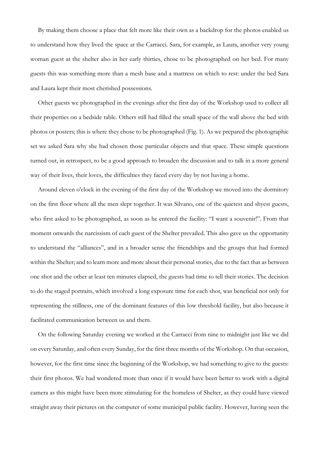By making them choose a place that felt more like their own as a backdrop for the photos enabled us to understand how they lived the space at the Carracci. Sara, for example, as Laura, another very young woman guest at the shelter also in her early thirties, chose to be photographed on her bed. For many guests this was something more than a mesh base and a mattress on which to rest: under the bed Sara and Laura kept their most cherished possessions.

Other guests we photographed in the evenings after the first day of the Workshop used to collect all their properties on a bedside table. Others still had filled the small space of the wall above the bed with photos or posters; this is where they chose to be photographed (Fig. 1). As we prepared the photographic set we asked Sara why she had chosen those particular objects and that space. These simple questions turned out, in retrospect, to be a good approach to broaden the discussion and to talk in a more general way of their lives, their loves, the difficulties they faced every day by not having a home.

Around eleven o'clock in the evening of the first day of the Workshop we moved into the dormitory on the first floor where all the men slept together. It was Silvano, one of the quietest and shyest guests, who first asked to be photographed, as soon as he entered the facility: "I want a souvenir!". From that moment onwards the narcissism of each guest of the Shelter prevailed. This also gave us the opportunity to understand the "alliances", and in a broader sense the friendships and the groups that had formed within the Shelter; and to learn more and more about their personal stories, due to the fact that as between one shot and the other at least ten minutes elapsed, the guests had time to tell their stories. The decision to do the staged portraits, which involved a long exposure time for each shot, was beneficial not only for representing the stillness, one of the dominant features of this low threshold facility, but also because it facilitated communication between us and them.

On the following Saturday evening we worked at the Carracci from nine to midnight just like we did on every Saturday, and often every Sunday, for the first three months of the Workshop. On that occasion, however, for the first time since the beginning of the Workshop, we had something to give to the guests: their first photos. We had wondered more than once if it would have been better to work with a digital camera as this might have been more stimulating for the homeless of Shelter, as they could have viewed straight away their pictures on the computer of some municipal public facility. However, having seen the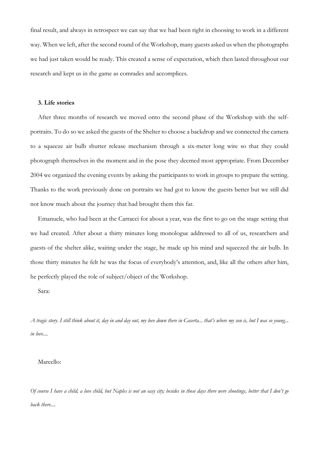final result, and always in retrospect we can say that we had been right in choosing to work in a different way. When we left, after the second round of the Workshop, many guests asked us when the photographs we had just taken would be ready. This created a sense of expectation, which then lasted throughout our research and kept us in the game as comrades and accomplices.

### **3. Life stories**

After three months of research we moved onto the second phase of the Workshop with the selfportraits. To do so we asked the guests of the Shelter to choose a backdrop and we connected the camera to a squeeze air bulb shutter release mechanism through a six-meter long wire so that they could photograph themselves in the moment and in the pose they deemed most appropriate. From December 2004 we organized the evening events by asking the participants to work in groups to prepare the setting. Thanks to the work previously done on portraits we had got to know the guests better but we still did not know much about the journey that had brought them this far.

Emanuele, who had been at the Carracci for about a year, was the first to go on the stage setting that we had created. After about a thirty minutes long monologue addressed to all of us, researchers and guests of the shelter alike, waiting under the stage, he made up his mind and squeezed the air bulb. In those thirty minutes he felt he was the focus of everybody's attention, and, like all the others after him, he perfectly played the role of subject/object of the Workshop.

Sara:

*A tragic story. I still think about it, day in and day out, my love down there in Caserta... that's where my son is, but I was so young... in love....*

### Marcello:

*Of course I have a child, a love child, but Naples is not an easy city; besides in those days there were shootings, better that I don't go back there....*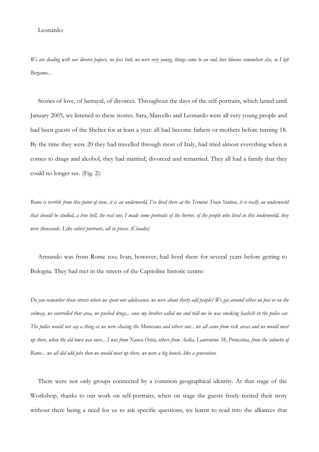Leonardo:

*We are dealing with our divorce papers, no fuss huh, we were very young, things come to an end, love blooms somewhere else, so I left Bergamo...*

Stories of love, of betrayal, of divorces. Throughout the days of the self-portraits, which lasted until January 2005, we listened to these stories. Sara, Marcello and Leonardo were all very young people and had been guests of the Shelter for at least a year: all had become fathers or mothers before turning 18. By the time they were 20 they had travelled through most of Italy, had tried almost everything when it comes to drugs and alcohol, they had married, divorced and remarried. They all had a family that they could no longer see. (Fig. 2):

*Rome is terrible from this point of view, it is an underworld, I've lived there at the Termini Train Station, it is really an underworld that should be studied, a true hell, the real one, I made some portraits of the horror, of the people who lived in this underworld, they were thousands. Like cubist portraits, all in pieces. (Claudio)*

Armando was from Rome too; Ivan, however, had lived there for several years before getting to Bologna. They had met in the streets of the Capitoline historic centre:

*Do you remember those streets where we spent our adolescence, we were about thirty odd people? We got around either on foot or on the subway, we controlled that area, we pushed drugs... once my brother called me and told me he was smoking hashish in the police car. The police would not say a thing as we were chasing the Moroccans and others out... we all came from risk areas and we would meet up there, when the old town was ours... I was from Nuova Ostia, others from Acilia, Laurentino 38, Prenestina, from the suburbs of Rome... we all did odd jobs then we would meet up there, we were a big bunch, like a generation.*

There were not only groups connected by a common geographical identity. At that stage of the Workshop, thanks to our work on self-portraits, when on stage the guests freely recited their story without there being a need for us to ask specific questions, we learnt to read into the alliances that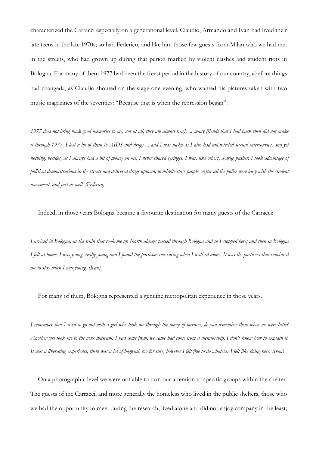characterized the Carracci especially on a generational level. Claudio, Armando and Ivan had lived their late teens in the late 1970s; so had Federico, and like him those few guests from Milan who we had met in the streets, who had grown up during that period marked by violent clashes and student riots in Bologna. For many of them 1977 had been the freest period in the history of our country, «before things had changed», as Claudio shouted on the stage one evening, who wanted his pictures taken with two music magazines of the seventies: "Because that is when the repression began":

*1977 does not bring back good memories to me, not at all, they are almost tragic ... many friends that I had back then did not make it through 1977, I lost a lot of them to AIDS and drugs ... and I was lucky as I also had unprotected sexual intercourses, and yet nothing, besides, as I always had a bit of money on me, I never shared syringes. I was, like others, a drug pusher. I took advantage of political demonstrations in the streets and delivered drugs uptown, to middle-class people. After all the police were busy with the student movement, and just as well. (Federico)*

Indeed, in those years Bologna became a favourite destination for many guests of the Carracci:

*I arrived in Bologna, as the train that took me up North always passed through Bologna and so I stopped here; and then in Bologna I felt at home, I was young, really young and I found the porticoes reassuring when I walked alone. It was the porticoes that convinced me to stay when I was young. (Ivan)*

For many of them, Bologna represented a genuine metropolitan experience in those years.

*I remember that I used to go out with a girl who took me through the maze of mirrors, do you remember them when we were little? Another girl took me to the wax museum. I had come from, we came had come from a dictatorship, I don't know how to explain it. It was a liberating experience, there was a lot of hogwash too for sure, however I felt free to do whatever I felt like doing here. (Ivan)*

On a photographic level we were not able to turn our attention to specific groups within the shelter. The guests of the Carracci, and more generally the homeless who lived in the public shelters, those who we had the opportunity to meet during the research, lived alone and did not enjoy company in the least;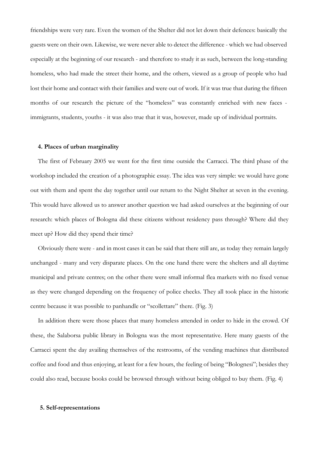friendships were very rare. Even the women of the Shelter did not let down their defences: basically the guests were on their own. Likewise, we were never able to detect the difference - which we had observed especially at the beginning of our research - and therefore to study it as such, between the long-standing homeless, who had made the street their home, and the others, viewed as a group of people who had lost their home and contact with their families and were out of work. If it was true that during the fifteen months of our research the picture of the "homeless" was constantly enriched with new faces immigrants, students, youths - it was also true that it was, however, made up of individual portraits.

#### **4. Places of urban marginality**

The first of February 2005 we went for the first time outside the Carracci. The third phase of the workshop included the creation of a photographic essay. The idea was very simple: we would have gone out with them and spent the day together until our return to the Night Shelter at seven in the evening. This would have allowed us to answer another question we had asked ourselves at the beginning of our research: which places of Bologna did these citizens without residency pass through? Where did they meet up? How did they spend their time?

Obviously there were - and in most cases it can be said that there still are, as today they remain largely unchanged - many and very disparate places. On the one hand there were the shelters and all daytime municipal and private centres; on the other there were small informal flea markets with no fixed venue as they were changed depending on the frequency of police checks. They all took place in the historic centre because it was possible to panhandle or "scollettare" there. (Fig. 3)

In addition there were those places that many homeless attended in order to hide in the crowd. Of these, the Salaborsa public library in Bologna was the most representative. Here many guests of the Carracci spent the day availing themselves of the restrooms, of the vending machines that distributed coffee and food and thus enjoying, at least for a few hours, the feeling of being "Bolognesi"; besides they could also read, because books could be browsed through without being obliged to buy them. (Fig. 4)

### **5. Self-representations**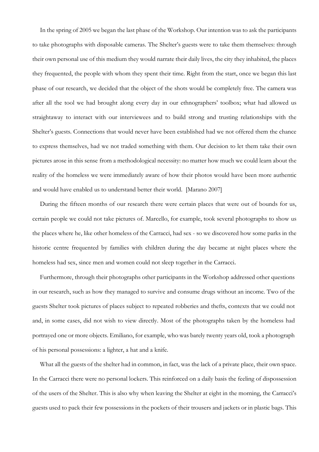In the spring of 2005 we began the last phase of the Workshop. Our intention was to ask the participants to take photographs with disposable cameras. The Shelter's guests were to take them themselves: through their own personal use of this medium they would narrate their daily lives, the city they inhabited, the places they frequented, the people with whom they spent their time. Right from the start, once we began this last phase of our research, we decided that the object of the shots would be completely free. The camera was after all the tool we had brought along every day in our ethnographers' toolbox; what had allowed us straightaway to interact with our interviewees and to build strong and trusting relationships with the Shelter's guests. Connections that would never have been established had we not offered them the chance to express themselves, had we not traded something with them. Our decision to let them take their own pictures arose in this sense from a methodological necessity: no matter how much we could learn about the reality of the homeless we were immediately aware of how their photos would have been more authentic and would have enabled us to understand better their world. [Marano 2007]

During the fifteen months of our research there were certain places that were out of bounds for us, certain people we could not take pictures of. Marcello, for example, took several photographs to show us the places where he, like other homeless of the Carracci, had sex - so we discovered how some parks in the historic centre frequented by families with children during the day became at night places where the homeless had sex, since men and women could not sleep together in the Carracci.

Furthermore, through their photographs other participants in the Workshop addressed other questions in our research, such as how they managed to survive and consume drugs without an income. Two of the guests Shelter took pictures of places subject to repeated robberies and thefts, contexts that we could not and, in some cases, did not wish to view directly. Most of the photographs taken by the homeless had portrayed one or more objects. Emiliano, for example, who was barely twenty years old, took a photograph of his personal possessions: a lighter, a hat and a knife.

What all the guests of the shelter had in common, in fact, was the lack of a private place, their own space. In the Carracci there were no personal lockers. This reinforced on a daily basis the feeling of dispossession of the users of the Shelter. This is also why when leaving the Shelter at eight in the morning, the Carracci's guests used to pack their few possessions in the pockets of their trousers and jackets or in plastic bags. This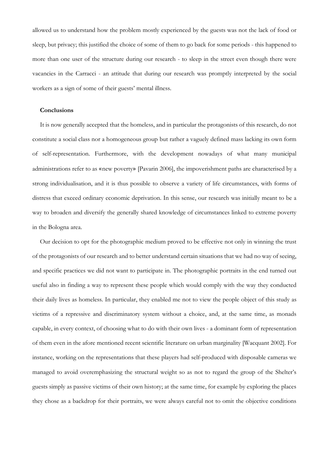allowed us to understand how the problem mostly experienced by the guests was not the lack of food or sleep, but privacy; this justified the choice of some of them to go back for some periods - this happened to more than one user of the structure during our research - to sleep in the street even though there were vacancies in the Carracci - an attitude that during our research was promptly interpreted by the social workers as a sign of some of their guests' mental illness.

## **Conclusions**

It is now generally accepted that the homeless, and in particular the protagonists of this research, do not constitute a social class nor a homogeneous group but rather a vaguely defined mass lacking its own form of self-representation. Furthermore, with the development nowadays of what many municipal administrations refer to as «new poverty» [Pavarin 2006], the impoverishment paths are characterised by a strong individualisation, and it is thus possible to observe a variety of life circumstances, with forms of distress that exceed ordinary economic deprivation. In this sense, our research was initially meant to be a way to broaden and diversify the generally shared knowledge of circumstances linked to extreme poverty in the Bologna area.

Our decision to opt for the photographic medium proved to be effective not only in winning the trust of the protagonists of our research and to better understand certain situations that we had no way of seeing, and specific practices we did not want to participate in. The photographic portraits in the end turned out useful also in finding a way to represent these people which would comply with the way they conducted their daily lives as homeless. In particular, they enabled me not to view the people object of this study as victims of a repressive and discriminatory system without a choice, and, at the same time, as monads capable, in every context, of choosing what to do with their own lives - a dominant form of representation of them even in the afore mentioned recent scientific literature on urban marginality [Wacquant 2002]. For instance, working on the representations that these players had self-produced with disposable cameras we managed to avoid overemphasizing the structural weight so as not to regard the group of the Shelter's guests simply as passive victims of their own history; at the same time, for example by exploring the places they chose as a backdrop for their portraits, we were always careful not to omit the objective conditions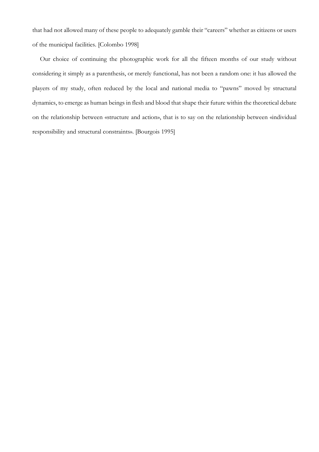that had not allowed many of these people to adequately gamble their "careers" whether as citizens or users of the municipal facilities. [Colombo 1998]

Our choice of continuing the photographic work for all the fifteen months of our study without considering it simply as a parenthesis, or merely functional, has not been a random one: it has allowed the players of my study, often reduced by the local and national media to "pawns" moved by structural dynamics, to emerge as human beings in flesh and blood that shape their future within the theoretical debate on the relationship between «structure and action», that is to say on the relationship between «individual responsibility and structural constraints». [Bourgois 1995]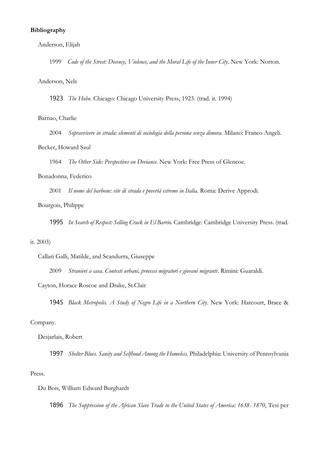## **Bibliography**

### Anderson, Elijah

1999 *Code of the Street: Decency, Violence, and the Moral Life of the Inner City*. New York: Norton.

### Anderson, Nels

1923 *The Hobo*. Chicago: Chicago University Press, 1923. (trad. it. 1994)

## Barnao, Charlie

2004 *Sopravvivere in strada: elementi di sociologia della persona senza dimora.* Milano: Franco Angeli.

### Becker, Howard Saul

1964 *The Other Side: Perspectives on Deviance.* New York: Free Press of Glencoe.

### Bonadonna, Federico

2001 *Il nome del barbone: vite di strada e povertà estreme in Italia.* Roma: Derive Approdi.

# Bourgois, Philippe

1995 *In Search of Respect: Selling Crack in El Barrio.* Cambridge: Cambridge University Press. (trad.

#### it. 2003)

Callari Galli, Matilde, and Scandurra, Giuseppe

2009 *Stranieri a casa. Contesti urbani, processi migratori e giovani migranti*. Rimini: Guaraldi.

Cayton, Horace Roscoe and Drake, St.Clair

1945 *Black Metropolis. A Study of Negro Life in a Northern City*. New York: Harcourt, Brace &

### Company.

#### Desjarlais, Robert

1997 *Shelter Blues. Sanity and Selfhood Among the Homeless.* Philadelphia: University of Pennsylvania

#### Press.

### Du Bois, William Edward Burghardt

1896 *The Suppression of the African Slave Trade to the United States of America: 1638- 1870*, Tesi per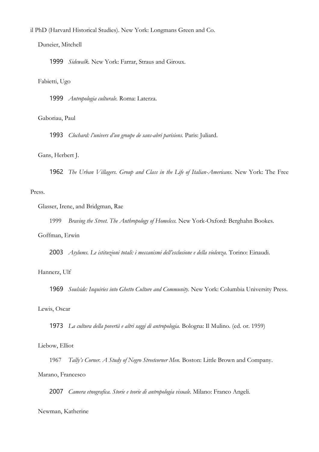il PhD (Harvard Historical Studies). New York: Longmans Green and Co.

Duneier, Mitchell

1999 *Sidewalk.* New York: Farrar, Straus and Giroux.

### Fabietti, Ugo

1999 *Antropologia culturale.* Roma: Laterza.

#### Gaboriau, Paul

1993 *Clochard: l'univers d'un groupe de sans-abri parisiens.* Paris: Juliard.

### Gans, Herbert J.

1962 *The Urban Villagers. Group and Class in the Life of Italian-Americans.* New York: The Free

## Press.

Glasser, Irene, and Bridgman, Rae

1999 *Braving the Street. The Anthropology of Homeless.* New York-Oxford: Berghahn Bookes.

### Goffman, Erwin

2003 *Asylums. Le istituzioni totali: i meccanismi dell'esclusione e della violenza.* Torino: Einaudi.

### Hannerz, Ulf

1969 *Soulside: Inquiries into Ghetto Culture and Community.* New York: Columbia University Press.

#### Lewis, Oscar

1973 *La cultura della povertà e altri saggi di antropologia.* Bologna: Il Mulino. (ed. or. 1959)

#### Liebow, Elliot

1967 *Tally's Corner. A Study of Negro Streetcorner Men*. Boston: Little Brown and Company. Marano, Francesco

2007 *Camera etnografica. Storie e teorie di antropologia visuale.* Milano: Franco Angeli.

### Newman, Katherine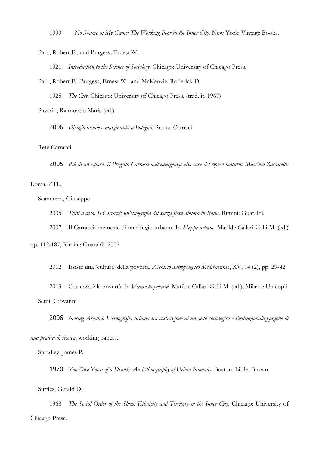1999 *No Shame in My Game: The Working Poor in the Inner City.* New York: Vintage Books.

Park, Robert E., and Burgess, Ernest W.

1921 *Introduction to the Science of Sociology.* Chicago: University of Chicago Press.

Park, Robert E., Burgess, Ernest W., and McKenzie, Roderick D.

1925 *The City*. Chicago: University of Chicago Press. (trad. it. 1967)

Pavarin, Raimondo Maria (ed.)

2006 *Disagio sociale e marginalità a Bologna.* Roma: Carocci.

## Rete Carracci

2005 *Più di un riparo. Il Progetto Carracci dall'emergenza alla casa del riposo notturno Massimo Zaccarelli*.

#### Roma: ZTL.

Scandurra, Giuseppe

2005 *Tutti a casa. Il Carracci: un'etnografia dei senza fissa dimora in Italia.* Rimini: Guaraldi.

2007 Il Carracci: memorie di un rifugio urbano. In *Mappe urbane*. Matilde Callari Galli M. (ed.)

pp. 112-187, Rimini: Guaraldi. 2007

2012 Esiste una 'cultura' della povertà. *Archivio antropologico Mediterraneo*, XV, 14 (2), pp. 29-42.

2013 Che cosa è la povertà. In *Vedere la povertà*. Matilde Callari Galli M. (ed.), Milano: Unicopli. Semi, Giovanni

2006 *Nosing Around*. *L'etnografia urbana tra costruzione di un mito sociologico e l'istituzionalizzazione di* 

*una pratica di ricerca*, working papers.

Spradley, James P.

1970 *You Owe Yourself a Drunk: An Ethnography of Urban Nomads.* Boston: Little, Brown.

Suttles, Gerald D.

1968 *The Social Order of the Slum: Ethnicity and Territory in the Inner City.* Chicago: University of Chicago Press.